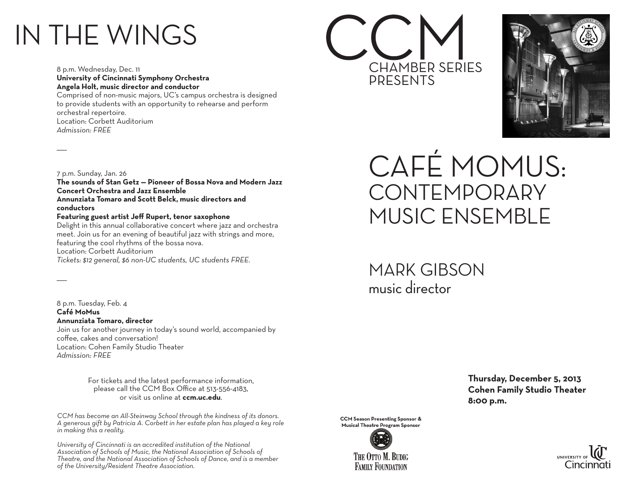## IN THE WINGS

8 p.m. Wednesday, Dec. 11 **University of Cincinnati Symphony Orchestra Angela Holt, music director and conductor** Comprised of non-music majors, UC's campus orchestra is designed to provide students with an opportunity to rehearse and perform orchestral repertoire. Location: Corbett Auditorium *Admission: FREE*

7 p.m. Sunday, Jan. 26

 $\overline{\phantom{a}}$ 

 $\overline{\phantom{a}}$ 

**The sounds of Stan Getz — Pioneer of Bossa Nova and Modern Jazz Concert Orchestra and Jazz Ensemble Annunziata Tomaro and Scott Belck, music directors and conductors**

## **Featuring guest artist Jeff Rupert, tenor saxophone**

Delight in this annual collaborative concert where jazz and orchestra meet. Join us for an evening of beautiful jazz with strings and more, featuring the cool rhythms of the bossa nova. Location: Corbett Auditorium *Tickets: \$12 general, \$6 non-UC students, UC students FREE.*

8 p.m. Tuesday, Feb. 4 **Café MoMus Annunziata Tomaro, director** Join us for another journey in today's sound world, accompanied by coffee, cakes and conversation! Location: Cohen Family Studio Theater *Admission: FREE*

> For tickets and the latest performance information, please call the CCM Box Office at 513-556-4183, or visit us online at **ccm.uc.edu**.

*CCM has become an All-Steinway School through the kindness of its donors. A generous gift by Patricia A. Corbett in her estate plan has played a key role in making this a reality.*

*University of Cincinnati is an accredited institution of the National Association of Schools of Music, the National Association of Schools of Theatre, and the National Association of Schools of Dance, and is a member of the University/Resident Theatre Association.*





CAFÉ MOMUS: **CONTEMPORARY** MUSIC ENSEMBLE

MARK GIBSON music director

> **Thursday, December 5, 2013 Cohen Family Studio Theater 8:00 p.m.**



**CCM Season Presenting Sponsor & Musical Theatre Program Sponsor**